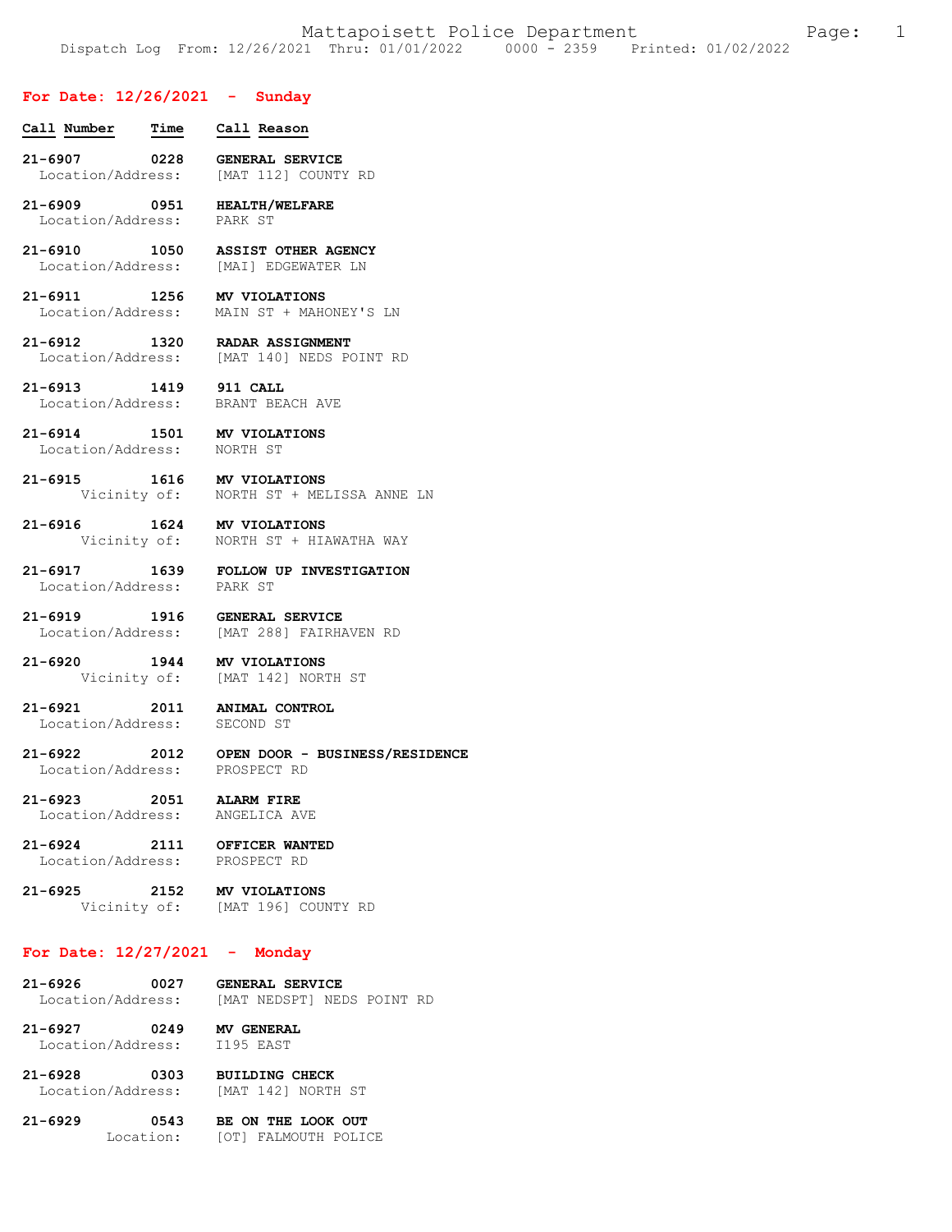## **For Date: 12/26/2021 - Sunday**

| Call Number Time Call Reason                                 |                                                                            |
|--------------------------------------------------------------|----------------------------------------------------------------------------|
|                                                              | 21-6907 0228 GENERAL SERVICE<br>Location/Address: [MAT 112] COUNTY RD      |
| 21-6909 0951 HEALTH/WELFARE<br>Location/Address: PARK ST     |                                                                            |
|                                                              | 21-6910 1050 ASSIST OTHER AGENCY<br>Location/Address: [MAI] EDGEWATER LN   |
| 21-6911 1256 MV VIOLATIONS                                   | Location/Address: MAIN ST + MAHONEY'S LN                                   |
|                                                              | 21-6912 1320 RADAR ASSIGNMENT<br>Location/Address: [MAT 140] NEDS POINT RD |
|                                                              | 21-6913 1419 911 CALL<br>Location/Address: BRANT BEACH AVE                 |
| 21-6914 1501 MV VIOLATIONS<br>Location/Address: NORTH ST     |                                                                            |
|                                                              | 21-6915 1616 MV VIOLATIONS<br>Vicinity of: NORTH ST + MELISSA ANNE LN      |
| 21-6916 1624 MV VIOLATIONS                                   | Vicinity of:    NORTH ST + HIAWATHA WAY                                    |
| Location/Address: PARK ST                                    | 21-6917 1639 FOLLOW UP INVESTIGATION                                       |
|                                                              | 21-6919 1916 GENERAL SERVICE<br>Location/Address: [MAT 288] FAIRHAVEN RD   |
| 21-6920 1944 MV VIOLATIONS                                   | Vicinity of: [MAT 142] NORTH ST                                            |
| 21-6921 2011 ANIMAL CONTROL<br>Location/Address: SECOND ST   |                                                                            |
| Location/Address: PROSPECT RD                                | 21-6922 2012 OPEN DOOR - BUSINESS/RESIDENCE                                |
| 21-6923<br>Location/Address:                                 | 2051 ALARM FIRE<br>ANGELICA AVE                                            |
| 21-6924 2111 OFFICER WANTED<br>Location/Address: PROSPECT RD |                                                                            |
|                                                              | 21-6925 2152 MV VIOLATIONS<br>Vicinity of: [MAT 196] COUNTY RD             |
| For Date: $12/27/2021$ - Monday                              |                                                                            |
| Location/Address:                                            | 21-6926 0027 GENERAL SERVICE<br>[MAT NEDSPT] NEDS POINT RD                 |

**21-6927 0249 MV GENERAL**  Location/Address: I195 EAST

**21-6928 0303 BUILDING CHECK**  Location/Address: [MAT 142] NORTH ST

**21-6929 0543 BE ON THE LOOK OUT**  Location: [OT] FALMOUTH POLICE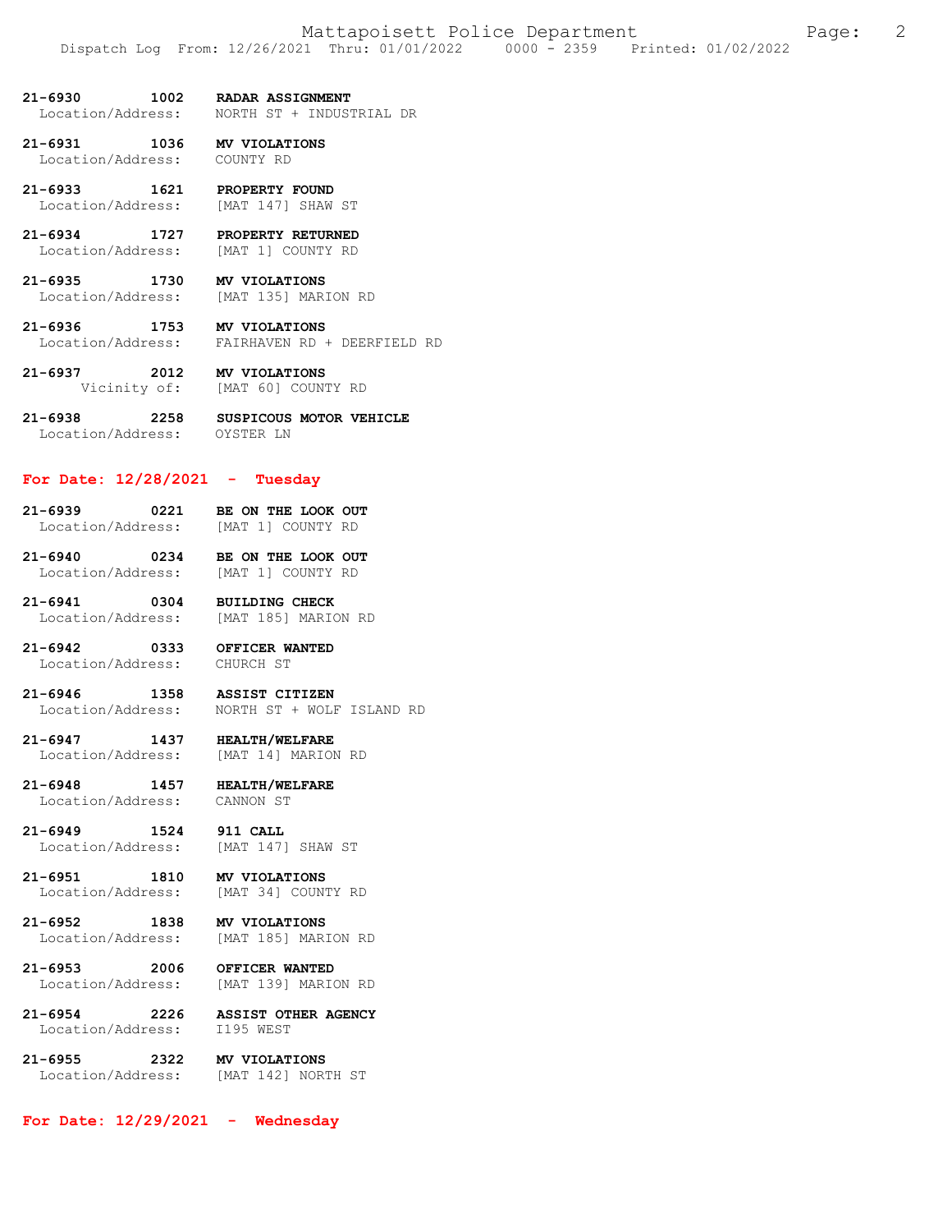### **21-6930 1002 RADAR ASSIGNMENT**  Location/Address: NORTH ST + INDUSTRIAL DR

**21-6931 1036 MV VIOLATIONS**  Location/Address: COUNTY RD

**21-6933 1621 PROPERTY FOUND**  Location/Address: [MAT 147] SHAW ST

**21-6934 1727 PROPERTY RETURNED**  Location/Address: [MAT 1] COUNTY RD

**21-6935 1730 MV VIOLATIONS**  Location/Address: [MAT 135] MARION RD

**21-6936 1753 MV VIOLATIONS**  Location/Address: FAIRHAVEN RD + DEERFIELD RD

**21-6937 2012 MV VIOLATIONS**  Vicinity of: [MAT 60] COUNTY RD

**21-6938 2258 SUSPICOUS MOTOR VEHICLE**  Location/Address: OYSTER LN

#### **For Date: 12/28/2021 - Tuesday**

**21-6939 0221 BE ON THE LOOK OUT**  Location/Address:

**21-6940 0234 BE ON THE LOOK OUT**  Location/Address:

**21-6941 0304 BUILDING CHECK**  Location/Address: [MAT 185] MARION RD

**21-6942 0333 OFFICER WANTED**  Location/Address:

**21-6946 1358 ASSIST CITIZEN**  Location/Address: NORTH ST + WOLF ISLAND RD

**21-6947 1437 HEALTH/WELFARE**  Location/Address:

**21-6948 1457 HEALTH/WELFARE**  Location/Address: CANNON ST

**21-6949 1524 911 CALL**<br>
Location/Address: [MAT 147] [MAT 147] SHAW ST

**21-6951 1810 MV VIOLATIONS**  Location/Address: [MAT 34] COUNTY RD

**21-6952 1838 MV VIOLATIONS**  Location/Address: [MAT 185] MARION RD

**21-6953 2006 OFFICER WANTED**  [MAT 139] MARION RD

**21-6954 2226 ASSIST OTHER AGENCY**  Location/Address: I195 WEST

**21-6955 2322 MV VIOLATIONS**  [MAT 142] NORTH ST

**For Date: 12/29/2021 - Wednesday**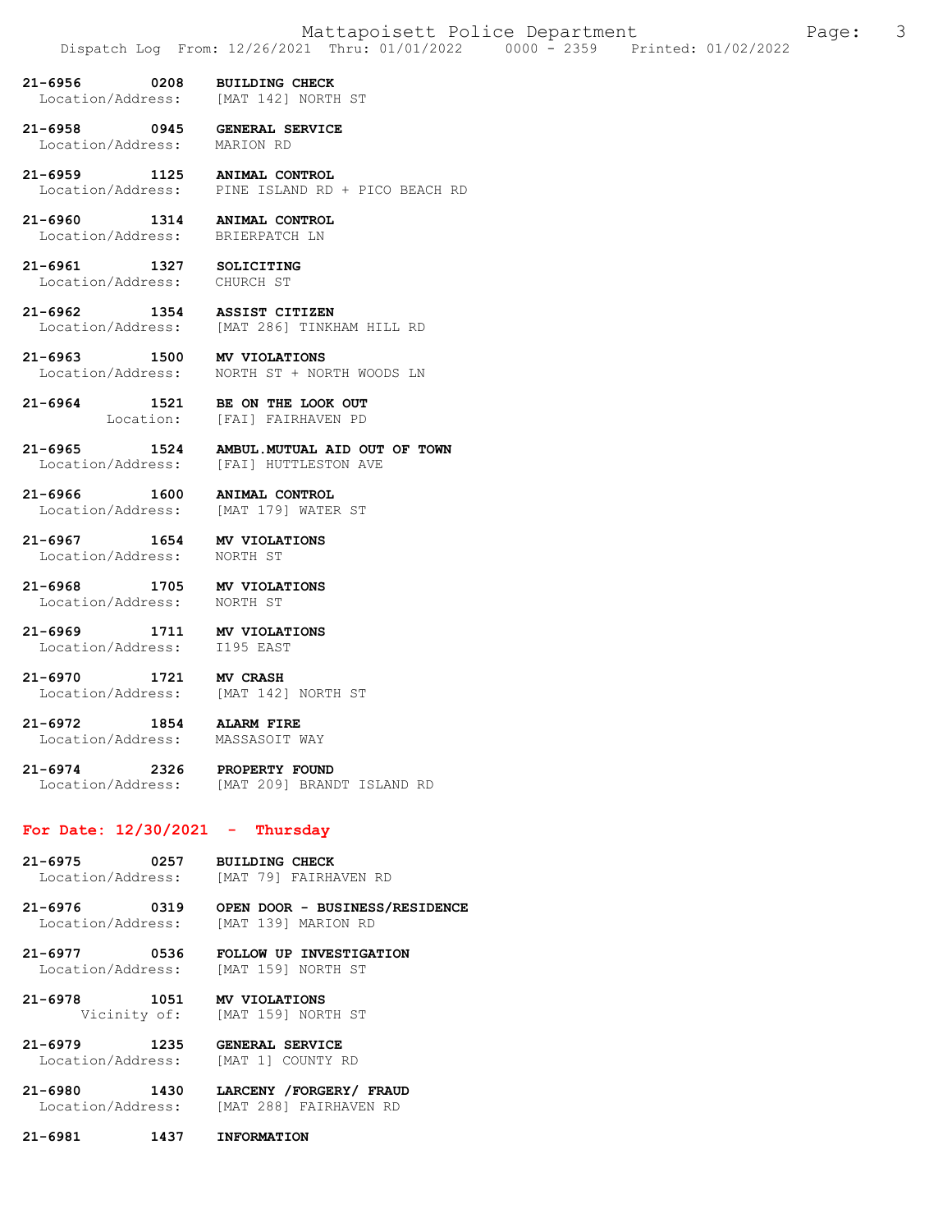- **21-6956 0208 BUILDING CHECK**  [MAT 142] NORTH ST
- **21-6958 0945 GENERAL SERVICE**  Location/Address:
- **21-6959 1125 ANIMAL CONTROL**  Location/Address: PINE ISLAND RD + PICO BEACH RD
- **21-6960 1314 ANIMAL CONTROL**  Location/Address:
- 21-6961 1327 SOLICITING<br>
Location/Address: CHURCH ST Location/Address:
- **21-6962 1354 ASSIST CITIZEN**  [MAT 286] TINKHAM HILL RD
- **21-6963 1500 MV VIOLATIONS**  Location/Address: NORTH ST + NORTH WOODS LN
- **21-6964 1521 BE ON THE LOOK OUT**  Location: [FAI] FAIRHAVEN PD
- **21-6965 1524 AMBUL.MUTUAL AID OUT OF TOWN**  Location/Address: [FAI] HUTTLESTON AVE
- **21-6966 1600 ANIMAL CONTROL**  Location/Address:
- **21-6967 1654 MV VIOLATIONS**  Location/Address:
	-
- **21-6968 1705 MV VIOLATIONS**  Location/Address: NORTH ST
- **21-6969 1711 MV VIOLATIONS**  Location/Address: I195 EAST
- **21-6970 1721 MV CRASH**  Location/Address: [MAT 142] NORTH ST
- **21-6972 1854 ALARM FIRE**  Location/Address:
	-
- **21-6974 2326 PROPERTY FOUND**  [MAT 209] BRANDT ISLAND RD

#### **For Date: 12/30/2021 - Thursday**

- **21-6975 0257 BUILDING CHECK**  Location/Address: [MAT 79] FAIRHAVEN RD
- **21-6976 0319 OPEN DOOR BUSINESS/RESIDENCE**  [MAT 139] MARION RD
- **21-6977 0536 FOLLOW UP INVESTIGATION**  Location/Address:
- **21-6978 1051 MV VIOLATIONS**  Vicinity of: [MAT 159] NORTH ST
- **21-6979 1235 GENERAL SERVICE**  Location/Address:
- **21-6980 1430 LARCENY /FORGERY/ FRAUD**  [MAT 288] FAIRHAVEN RD
- **21-6981 1437 INFORMATION**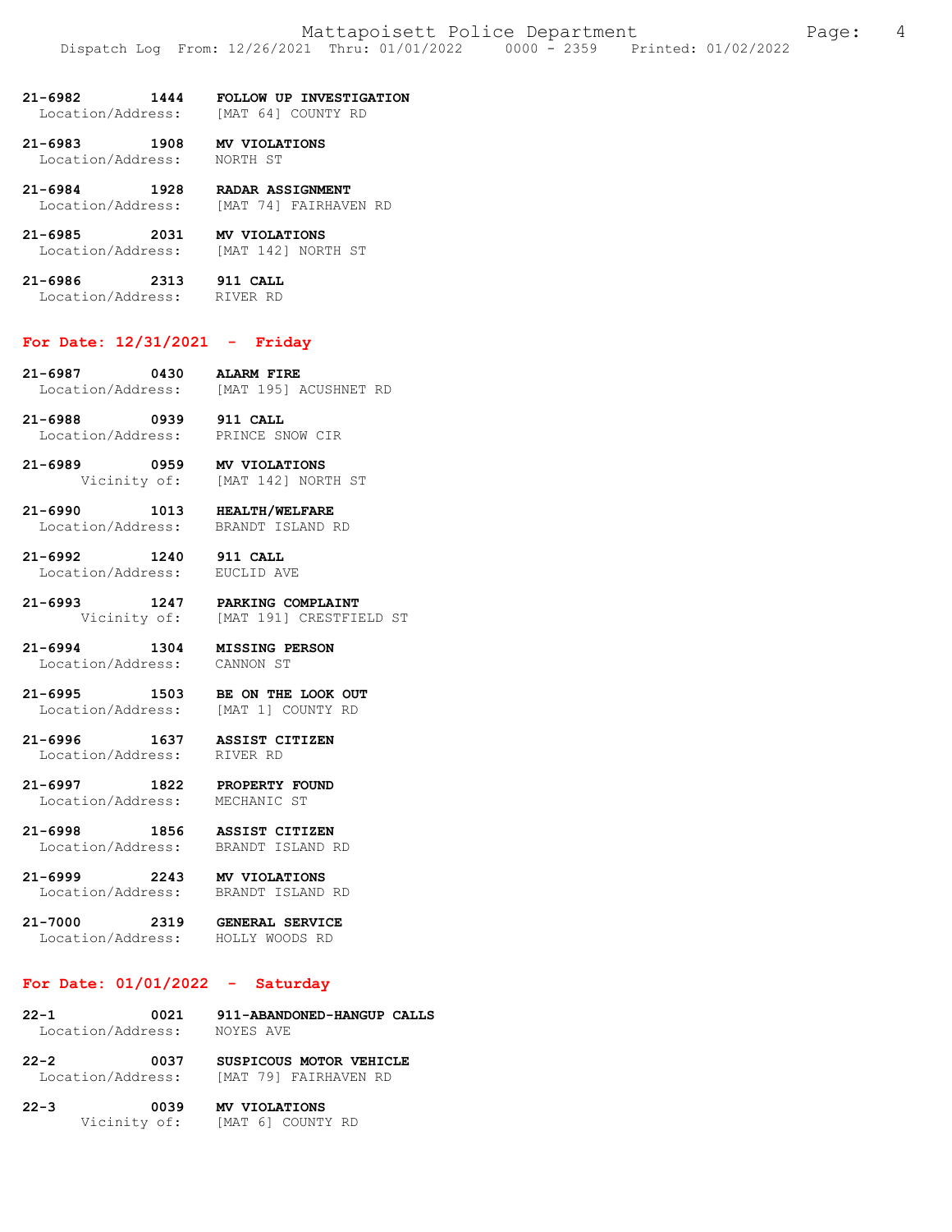- **21-6982 1444 FOLLOW UP INVESTIGATION**  Location/Address:
- **21-6983 1908 MV VIOLATIONS**  Location/Address: NORTH ST
- **21-6984 1928 RADAR ASSIGNMENT**  Location/Address: [MAT 74] FAIRHAVEN RD
- **21-6985 2031 MV VIOLATIONS**  Location/Address: [MAT 142] NORTH ST
- **21-6986 2313 911 CALL**  Location/Address: RIVER RD
- 

### **For Date: 12/31/2021 - Friday**

- **21-6987 0430 ALARM FIRE**  [MAT 195] ACUSHNET RD
- **21-6988 0939 911 CALL**  Location/Address:
- **21-6989 0959 MV VIOLATIONS**  Vicinity of: [MAT 142] NORTH ST
- **21-6990 1013 HEALTH/WELFARE**  Location/Address:
- **21-6992 1240 911 CALL**  Location/Address:
- 
- **21-6993 1247 PARKING COMPLAINT**  Vicinity of: [MAT 191] CRESTFIELD ST
- **21-6994 1304 MISSING PERSON**  Location/Address: CANNON ST
	-
- **21-6995 1503 BE ON THE LOOK OUT**  Location/Address: [MAT 1] COUNTY RD
- **21-6996 1637 ASSIST CITIZEN**  Location/Address:
- **21-6997 1822 PROPERTY FOUND**  Location/Address: MECHANIC ST
- **21-6998 1856 ASSIST CITIZEN**  Location/Address:
- **21-6999 2243 MV VIOLATIONS**  Location/Address:
	-
- **21-7000 2319 GENERAL SERVICE**  Location/Address: HOLLY WOODS RD

# **For Date: 01/01/2022 - Saturday**

| $22 - 1$          | 0021 |           | 911-ABANDONED-HANGUP CALLS |  |
|-------------------|------|-----------|----------------------------|--|
| Location/Address: |      | NOYES AVE |                            |  |

- **22-2 0037 SUSPICOUS MOTOR VEHICLE**  Location/Address: [MAT 79] FAIRHAVEN RD
- **22-3 0039 MV VIOLATIONS**  Vicinity of: [MAT 6] COUNTY RD